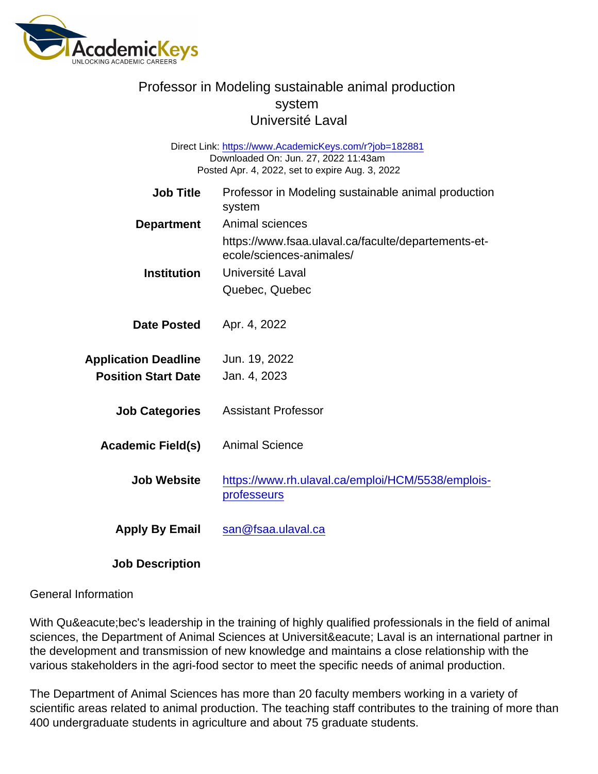Job Title Professor in Modeling sustainable animal production system Department Animal sciences https://www.fsaa.ulaval.ca/faculte/departements-etecole/sciences-animales/ Institution Université Laval Quebec, Quebec Date Posted Apr. 4, 2022 Application Deadline Jun. 19, 2022 Position Start Date Jan. 4, 2023 Job Categories Assistant Professor Academic Field(s) Animal Science Job Website [https://www.rh.ulaval.ca/emploi/HCM/5538/emplois](https://www.rh.ulaval.ca/emploi/HCM/5538/emplois-professeurs)[professeurs](https://www.rh.ulaval.ca/emploi/HCM/5538/emplois-professeurs) Apply By Email [san@fsaa.ulaval.ca](mailto:san@fsaa.ulaval.ca) Direct Link: <https://www.AcademicKeys.com/r?job=182881> Downloaded On: Jun. 27, 2022 11:43am Posted Apr. 4, 2022, set to expire Aug. 3, 2022

Job Description

#### General Information

With Québec's leadership in the training of highly qualified professionals in the field of animal sciences, the Department of Animal Sciences at Université Laval is an international partner in the development and transmission of new knowledge and maintains a close relationship with the various stakeholders in the agri-food sector to meet the specific needs of animal production.

The Department of Animal Sciences has more than 20 faculty members working in a variety of scientific areas related to animal production. The teaching staff contributes to the training of more than 400 undergraduate students in agriculture and about 75 graduate students.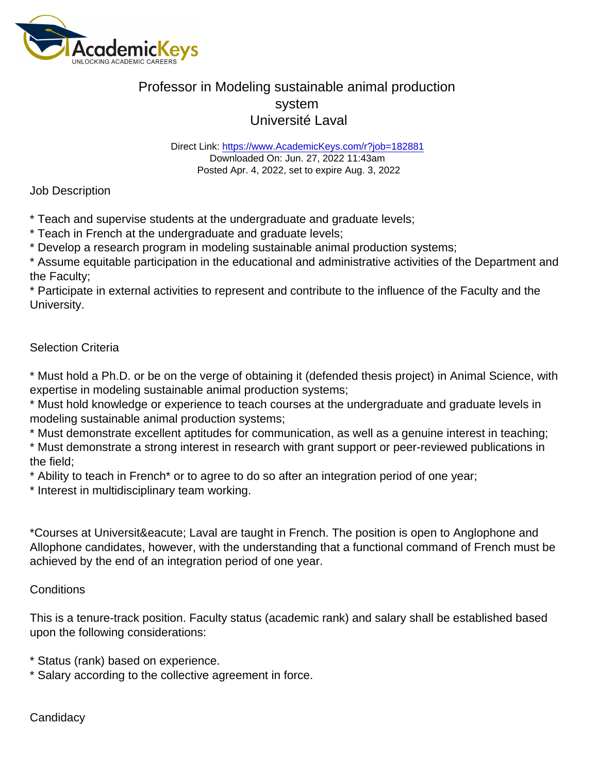Direct Link: <https://www.AcademicKeys.com/r?job=182881> Downloaded On: Jun. 27, 2022 11:43am Posted Apr. 4, 2022, set to expire Aug. 3, 2022

Job Description

\* Teach and supervise students at the undergraduate and graduate levels;

\* Teach in French at the undergraduate and graduate levels;

\* Develop a research program in modeling sustainable animal production systems;

\* Assume equitable participation in the educational and administrative activities of the Department and the Faculty;

\* Participate in external activities to represent and contribute to the influence of the Faculty and the University.

### Selection Criteria

\* Must hold a Ph.D. or be on the verge of obtaining it (defended thesis project) in Animal Science, with expertise in modeling sustainable animal production systems;

\* Must hold knowledge or experience to teach courses at the undergraduate and graduate levels in modeling sustainable animal production systems;

\* Must demonstrate excellent aptitudes for communication, as well as a genuine interest in teaching;

\* Must demonstrate a strong interest in research with grant support or peer-reviewed publications in the field;

\* Ability to teach in French\* or to agree to do so after an integration period of one year;

\* Interest in multidisciplinary team working.

\*Courses at Université Laval are taught in French. The position is open to Anglophone and Allophone candidates, however, with the understanding that a functional command of French must be achieved by the end of an integration period of one year.

#### **Conditions**

This is a tenure-track position. Faculty status (academic rank) and salary shall be established based upon the following considerations:

\* Status (rank) based on experience.

\* Salary according to the collective agreement in force.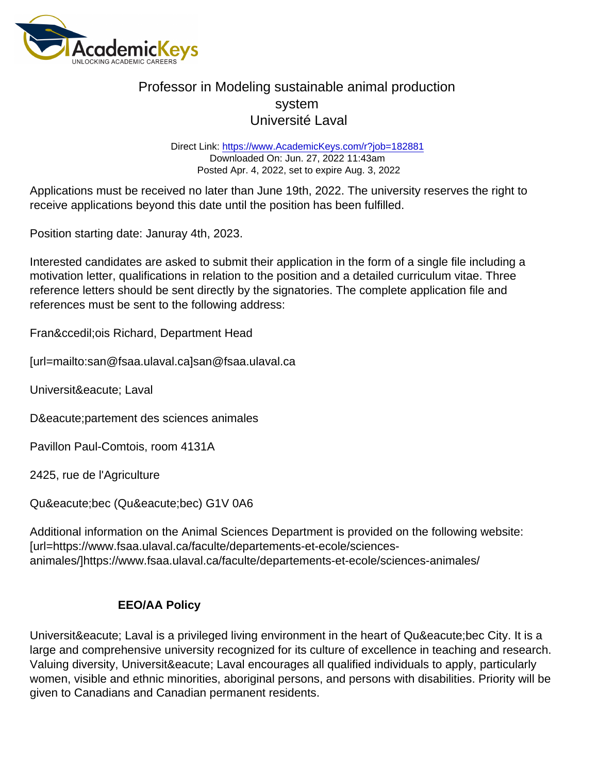Direct Link: <https://www.AcademicKeys.com/r?job=182881> Downloaded On: Jun. 27, 2022 11:43am Posted Apr. 4, 2022, set to expire Aug. 3, 2022

Applications must be received no later than June 19th, 2022. The university reserves the right to receive applications beyond this date until the position has been fulfilled.

Position starting date: Januray 4th, 2023.

Interested candidates are asked to submit their application in the form of a single file including a motivation letter, qualifications in relation to the position and a detailed curriculum vitae. Three reference letters should be sent directly by the signatories. The complete application file and references must be sent to the following address:

Franç ois Richard, Department Head

[url=mailto:san@fsaa.ulaval.ca]san@fsaa.ulaval.ca

Universit&eacute: Laval

Dé partement des sciences animales

Pavillon Paul-Comtois, room 4131A

2425, rue de l'Agriculture

Québec (Québec) G1V 0A6

Additional information on the Animal Sciences Department is provided on the following website: [url=https://www.fsaa.ulaval.ca/faculte/departements-et-ecole/sciencesanimales/]https://www.fsaa.ulaval.ca/faculte/departements-et-ecole/sciences-animales/

### EEO/AA Policy

Université Laval is a privileged living environment in the heart of Québec City. It is a large and comprehensive university recognized for its culture of excellence in teaching and research. Valuing diversity, Université Laval encourages all qualified individuals to apply, particularly women, visible and ethnic minorities, aboriginal persons, and persons with disabilities. Priority will be given to Canadians and Canadian permanent residents.